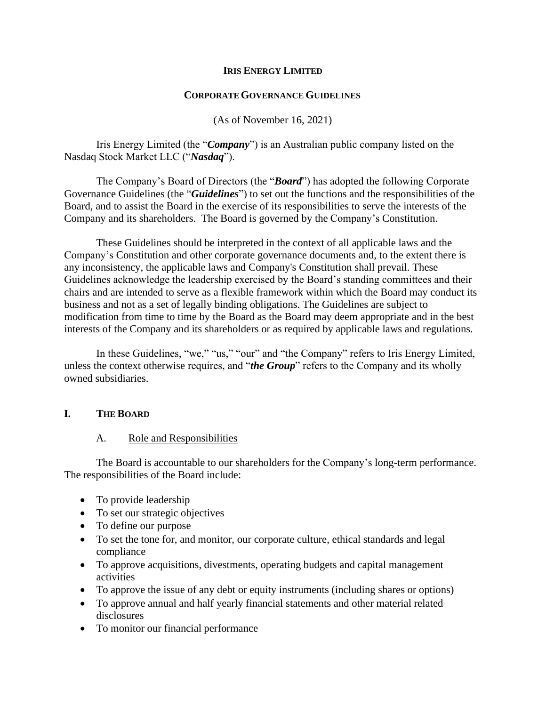#### **IRIS ENERGY LIMITED**

#### **CORPORATEGOVERNANCE GUIDELINES**

(As of November 16, 2021)

Iris Energy Limited (the "*Company*") is an Australian public company listed on the Nasdaq Stock Market LLC ("*Nasdaq*").

The Company's Board of Directors (the "*Board*") has adopted the following Corporate Governance Guidelines (the "*Guidelines*") to set out the functions and the responsibilities of the Board, and to assist the Board in the exercise of its responsibilities to serve the interests of the Company and its shareholders. The Board is governed by the Company's Constitution.

These Guidelines should be interpreted in the context of all applicable laws and the Company's Constitution and other corporate governance documents and, to the extent there is any inconsistency, the applicable laws and Company's Constitution shall prevail. These Guidelines acknowledge the leadership exercised by the Board's standing committees and their chairs and are intended to serve as a flexible framework within which the Board may conduct its business and not as a set of legally binding obligations. The Guidelines are subject to modification from time to time by the Board as the Board may deem appropriate and in the best interests of the Company and its shareholders or as required by applicable laws and regulations.

In these Guidelines, "we," "us," "our" and "the Company" refers to Iris Energy Limited, unless the context otherwise requires, and "*the Group*" refers to the Company and its wholly owned subsidiaries.

#### **I. THE BOARD**

#### A. Role and Responsibilities

The Board is accountable to our shareholders for the Company's long-term performance. The responsibilities of the Board include:

- To provide leadership
- To set our strategic objectives
- To define our purpose
- To set the tone for, and monitor, our corporate culture, ethical standards and legal compliance
- To approve acquisitions, divestments, operating budgets and capital management activities
- To approve the issue of any debt or equity instruments (including shares or options)
- To approve annual and half yearly financial statements and other material related disclosures
- To monitor our financial performance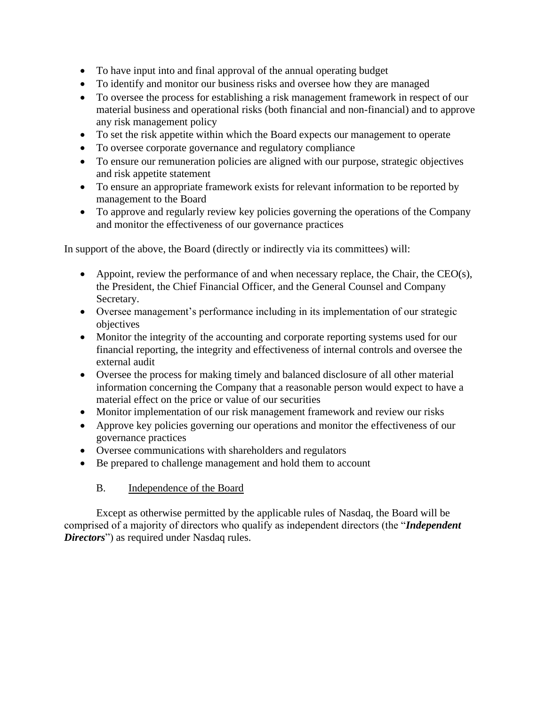- To have input into and final approval of the annual operating budget
- To identify and monitor our business risks and oversee how they are managed
- To oversee the process for establishing a risk management framework in respect of our material business and operational risks (both financial and non-financial) and to approve any risk management policy
- To set the risk appetite within which the Board expects our management to operate
- To oversee corporate governance and regulatory compliance
- To ensure our remuneration policies are aligned with our purpose, strategic objectives and risk appetite statement
- To ensure an appropriate framework exists for relevant information to be reported by management to the Board
- To approve and regularly review key policies governing the operations of the Company and monitor the effectiveness of our governance practices

In support of the above, the Board (directly or indirectly via its committees) will:

- Appoint, review the performance of and when necessary replace, the Chair, the CEO(s), the President, the Chief Financial Officer, and the General Counsel and Company Secretary.
- Oversee management's performance including in its implementation of our strategic objectives
- Monitor the integrity of the accounting and corporate reporting systems used for our financial reporting, the integrity and effectiveness of internal controls and oversee the external audit
- Oversee the process for making timely and balanced disclosure of all other material information concerning the Company that a reasonable person would expect to have a material effect on the price or value of our securities
- Monitor implementation of our risk management framework and review our risks
- Approve key policies governing our operations and monitor the effectiveness of our governance practices
- Oversee communications with shareholders and regulators
- Be prepared to challenge management and hold them to account

# B. Independence of the Board

Except as otherwise permitted by the applicable rules of Nasdaq, the Board will be comprised of a majority of directors who qualify as independent directors (the "*Independent Directors*") as required under Nasdaq rules.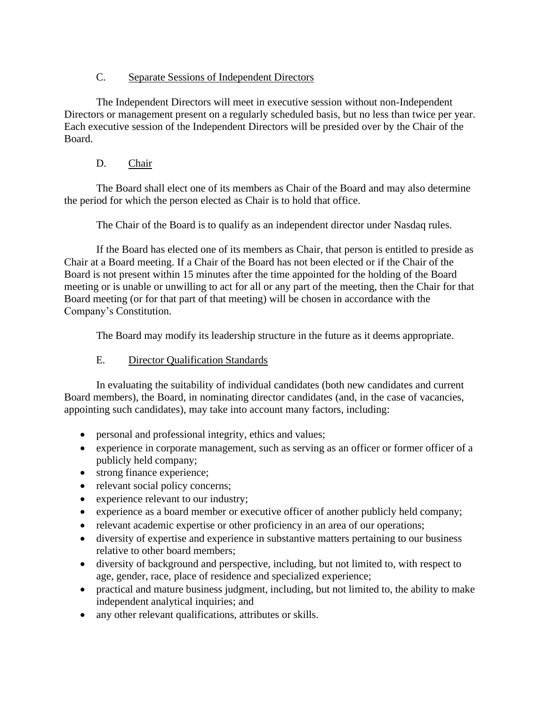### C. Separate Sessions of Independent Directors

The Independent Directors will meet in executive session without non-Independent Directors or management present on a regularly scheduled basis, but no less than twice per year. Each executive session of the Independent Directors will be presided over by the Chair of the Board.

## D. Chair

The Board shall elect one of its members as Chair of the Board and may also determine the period for which the person elected as Chair is to hold that office.

The Chair of the Board is to qualify as an independent director under Nasdaq rules.

If the Board has elected one of its members as Chair, that person is entitled to preside as Chair at a Board meeting. If a Chair of the Board has not been elected or if the Chair of the Board is not present within 15 minutes after the time appointed for the holding of the Board meeting or is unable or unwilling to act for all or any part of the meeting, then the Chair for that Board meeting (or for that part of that meeting) will be chosen in accordance with the Company's Constitution.

The Board may modify its leadership structure in the future as it deems appropriate.

# E. Director Qualification Standards

In evaluating the suitability of individual candidates (both new candidates and current Board members), the Board, in nominating director candidates (and, in the case of vacancies, appointing such candidates), may take into account many factors, including:

- personal and professional integrity, ethics and values;
- experience in corporate management, such as serving as an officer or former officer of a publicly held company;
- strong finance experience;
- relevant social policy concerns;
- experience relevant to our industry;
- experience as a board member or executive officer of another publicly held company;
- relevant academic expertise or other proficiency in an area of our operations;
- diversity of expertise and experience in substantive matters pertaining to our business relative to other board members;
- diversity of background and perspective, including, but not limited to, with respect to age, gender, race, place of residence and specialized experience;
- practical and mature business judgment, including, but not limited to, the ability to make independent analytical inquiries; and
- any other relevant qualifications, attributes or skills.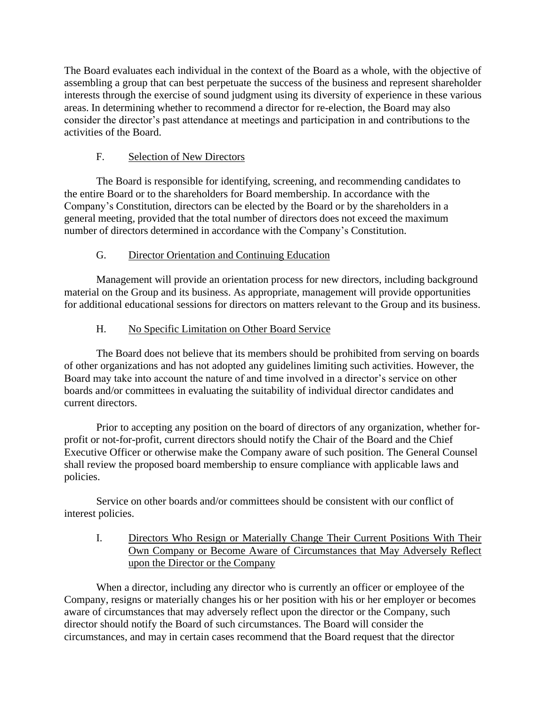The Board evaluates each individual in the context of the Board as a whole, with the objective of assembling a group that can best perpetuate the success of the business and represent shareholder interests through the exercise of sound judgment using its diversity of experience in these various areas. In determining whether to recommend a director for re-election, the Board may also consider the director's past attendance at meetings and participation in and contributions to the activities of the Board.

## F. Selection of New Directors

The Board is responsible for identifying, screening, and recommending candidates to the entire Board or to the shareholders for Board membership. In accordance with the Company's Constitution, directors can be elected by the Board or by the shareholders in a general meeting, provided that the total number of directors does not exceed the maximum number of directors determined in accordance with the Company's Constitution.

# G. Director Orientation and Continuing Education

Management will provide an orientation process for new directors, including background material on the Group and its business. As appropriate, management will provide opportunities for additional educational sessions for directors on matters relevant to the Group and its business.

## H. No Specific Limitation on Other Board Service

The Board does not believe that its members should be prohibited from serving on boards of other organizations and has not adopted any guidelines limiting such activities. However, the Board may take into account the nature of and time involved in a director's service on other boards and/or committees in evaluating the suitability of individual director candidates and current directors.

Prior to accepting any position on the board of directors of any organization, whether forprofit or not-for-profit, current directors should notify the Chair of the Board and the Chief Executive Officer or otherwise make the Company aware of such position. The General Counsel shall review the proposed board membership to ensure compliance with applicable laws and policies.

Service on other boards and/or committees should be consistent with our conflict of interest policies.

I. Directors Who Resign or Materially Change Their Current Positions With Their Own Company or Become Aware of Circumstances that May Adversely Reflect upon the Director or the Company

When a director, including any director who is currently an officer or employee of the Company, resigns or materially changes his or her position with his or her employer or becomes aware of circumstances that may adversely reflect upon the director or the Company, such director should notify the Board of such circumstances. The Board will consider the circumstances, and may in certain cases recommend that the Board request that the director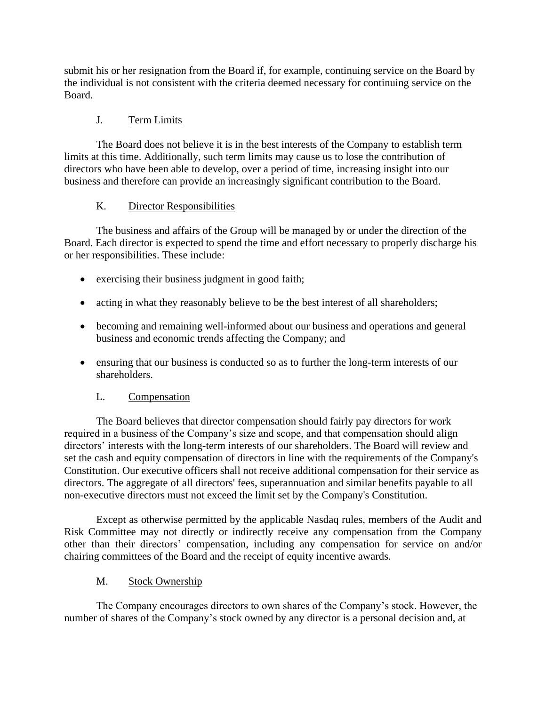submit his or her resignation from the Board if, for example, continuing service on the Board by the individual is not consistent with the criteria deemed necessary for continuing service on the Board.

### J. Term Limits

The Board does not believe it is in the best interests of the Company to establish term limits at this time. Additionally, such term limits may cause us to lose the contribution of directors who have been able to develop, over a period of time, increasing insight into our business and therefore can provide an increasingly significant contribution to the Board.

# K. Director Responsibilities

The business and affairs of the Group will be managed by or under the direction of the Board. Each director is expected to spend the time and effort necessary to properly discharge his or her responsibilities. These include:

- exercising their business judgment in good faith;
- acting in what they reasonably believe to be the best interest of all shareholders;
- becoming and remaining well-informed about our business and operations and general business and economic trends affecting the Company; and
- ensuring that our business is conducted so as to further the long-term interests of our shareholders.

# L. Compensation

The Board believes that director compensation should fairly pay directors for work required in a business of the Company's size and scope, and that compensation should align directors' interests with the long-term interests of our shareholders. The Board will review and set the cash and equity compensation of directors in line with the requirements of the Company's Constitution. Our executive officers shall not receive additional compensation for their service as directors. The aggregate of all directors' fees, superannuation and similar benefits payable to all non-executive directors must not exceed the limit set by the Company's Constitution.

Except as otherwise permitted by the applicable Nasdaq rules, members of the Audit and Risk Committee may not directly or indirectly receive any compensation from the Company other than their directors' compensation, including any compensation for service on and/or chairing committees of the Board and the receipt of equity incentive awards.

# M. Stock Ownership

The Company encourages directors to own shares of the Company's stock. However, the number of shares of the Company's stock owned by any director is a personal decision and, at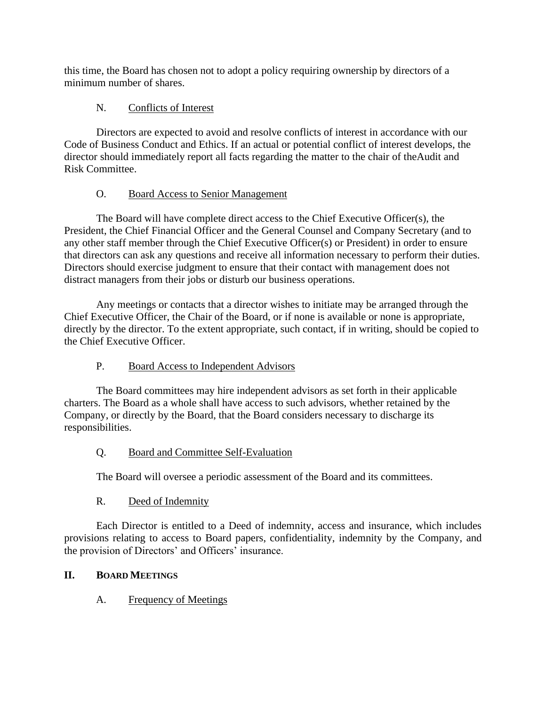this time, the Board has chosen not to adopt a policy requiring ownership by directors of a minimum number of shares.

## N. Conflicts of Interest

Directors are expected to avoid and resolve conflicts of interest in accordance with our Code of Business Conduct and Ethics. If an actual or potential conflict of interest develops, the director should immediately report all facts regarding the matter to the chair of theAudit and Risk Committee.

## O. Board Access to Senior Management

The Board will have complete direct access to the Chief Executive Officer(s), the President, the Chief Financial Officer and the General Counsel and Company Secretary (and to any other staff member through the Chief Executive Officer(s) or President) in order to ensure that directors can ask any questions and receive all information necessary to perform their duties. Directors should exercise judgment to ensure that their contact with management does not distract managers from their jobs or disturb our business operations.

Any meetings or contacts that a director wishes to initiate may be arranged through the Chief Executive Officer, the Chair of the Board, or if none is available or none is appropriate, directly by the director. To the extent appropriate, such contact, if in writing, should be copied to the Chief Executive Officer.

# P. Board Access to Independent Advisors

The Board committees may hire independent advisors as set forth in their applicable charters. The Board as a whole shall have access to such advisors, whether retained by the Company, or directly by the Board, that the Board considers necessary to discharge its responsibilities.

# Q. Board and Committee Self-Evaluation

The Board will oversee a periodic assessment of the Board and its committees.

### R. Deed of Indemnity

Each Director is entitled to a Deed of indemnity, access and insurance, which includes provisions relating to access to Board papers, confidentiality, indemnity by the Company, and the provision of Directors' and Officers' insurance.

### **II. BOARD MEETINGS**

# A. Frequency of Meetings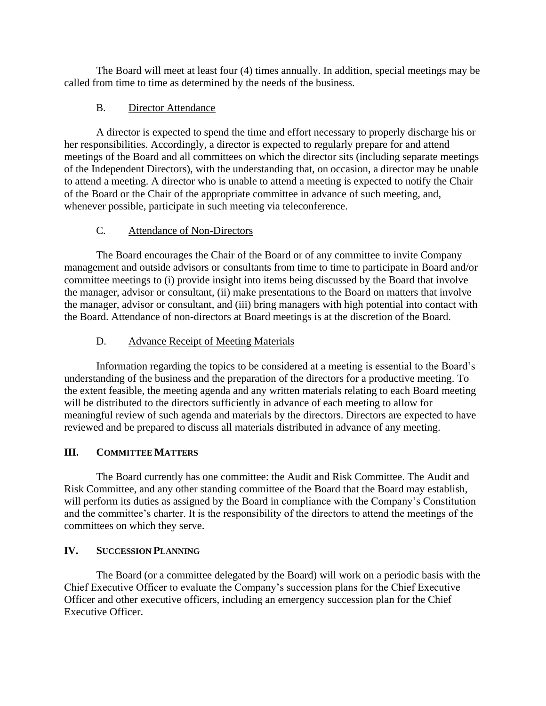The Board will meet at least four (4) times annually. In addition, special meetings may be called from time to time as determined by the needs of the business.

### B. Director Attendance

A director is expected to spend the time and effort necessary to properly discharge his or her responsibilities. Accordingly, a director is expected to regularly prepare for and attend meetings of the Board and all committees on which the director sits (including separate meetings of the Independent Directors), with the understanding that, on occasion, a director may be unable to attend a meeting. A director who is unable to attend a meeting is expected to notify the Chair of the Board or the Chair of the appropriate committee in advance of such meeting, and, whenever possible, participate in such meeting via teleconference.

## C. Attendance of Non-Directors

The Board encourages the Chair of the Board or of any committee to invite Company management and outside advisors or consultants from time to time to participate in Board and/or committee meetings to (i) provide insight into items being discussed by the Board that involve the manager, advisor or consultant, (ii) make presentations to the Board on matters that involve the manager, advisor or consultant, and (iii) bring managers with high potential into contact with the Board. Attendance of non-directors at Board meetings is at the discretion of the Board.

## D. Advance Receipt of Meeting Materials

Information regarding the topics to be considered at a meeting is essential to the Board's understanding of the business and the preparation of the directors for a productive meeting. To the extent feasible, the meeting agenda and any written materials relating to each Board meeting will be distributed to the directors sufficiently in advance of each meeting to allow for meaningful review of such agenda and materials by the directors. Directors are expected to have reviewed and be prepared to discuss all materials distributed in advance of any meeting.

### **III. COMMITTEE MATTERS**

The Board currently has one committee: the Audit and Risk Committee. The Audit and Risk Committee, and any other standing committee of the Board that the Board may establish, will perform its duties as assigned by the Board in compliance with the Company's Constitution and the committee's charter. It is the responsibility of the directors to attend the meetings of the committees on which they serve.

### **IV. SUCCESSION PLANNING**

The Board (or a committee delegated by the Board) will work on a periodic basis with the Chief Executive Officer to evaluate the Company's succession plans for the Chief Executive Officer and other executive officers, including an emergency succession plan for the Chief Executive Officer.